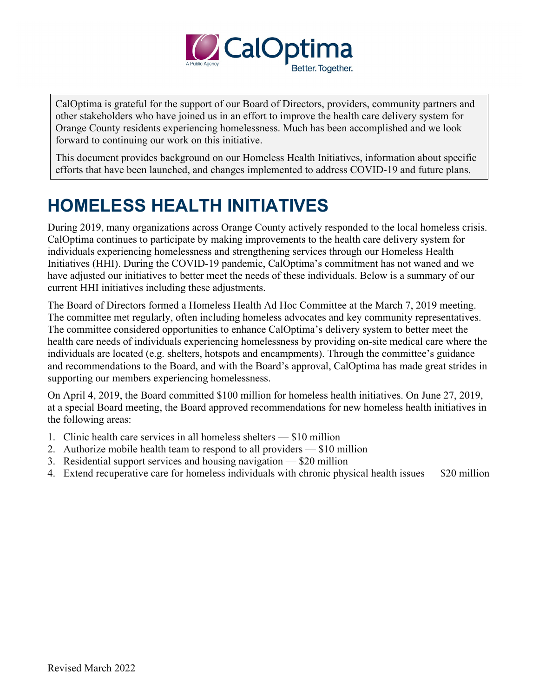

CalOptima is grateful for the support of our Board of Directors, providers, community partners and other stakeholders who have joined us in an effort to improve the health care delivery system for Orange County residents experiencing homelessness. Much has been accomplished and we look forward to continuing our work on this initiative.

This document provides background on our Homeless Health Initiatives, information about specific efforts that have been launched, and changes implemented to address COVID-19 and future plans.

# **HOMELESS HEALTH INITIATIVES**

During 2019, many organizations across Orange County actively responded to the local homeless crisis. CalOptima continues to participate by making improvements to the health care delivery system for individuals experiencing homelessness and strengthening services through our Homeless Health Initiatives (HHI). During the COVID-19 pandemic, CalOptima's commitment has not waned and we have adjusted our initiatives to better meet the needs of these individuals. Below is a summary of our current HHI initiatives including these adjustments.

The Board of Directors formed a Homeless Health Ad Hoc Committee at the March 7, 2019 meeting. The committee met regularly, often including homeless advocates and key community representatives. The committee considered opportunities to enhance CalOptima's delivery system to better meet the health care needs of individuals experiencing homelessness by providing on-site medical care where the individuals are located (e.g. shelters, hotspots and encampments). Through the committee's guidance and recommendations to the Board, and with the Board's approval, CalOptima has made great strides in supporting our members experiencing homelessness.

On April 4, 2019, the Board committed \$100 million for homeless health initiatives. On June 27, 2019, at a special Board meeting, the Board approved recommendations for new homeless health initiatives in the following areas:

- 1. Clinic health care services in all homeless shelters \$10 million
- 2. Authorize mobile health team to respond to all providers \$10 million
- 3. Residential support services and housing navigation \$20 million
- 4. Extend recuperative care for homeless individuals with chronic physical health issues \$20 million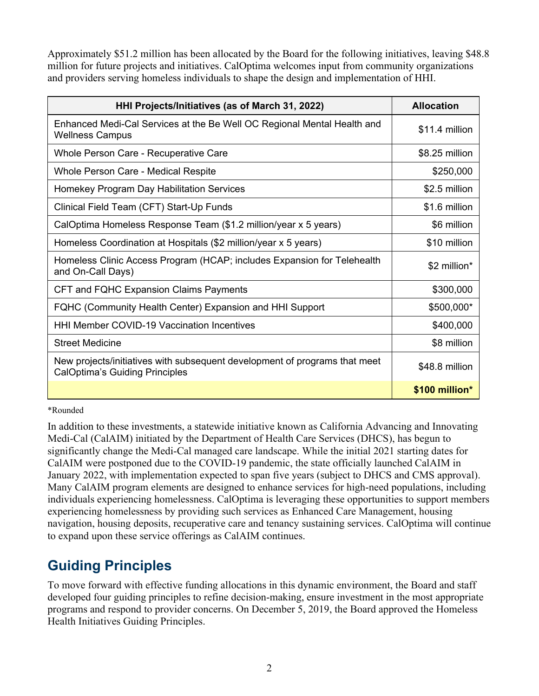Approximately \$51.2 million has been allocated by the Board for the following initiatives, leaving \$48.8 million for future projects and initiatives. CalOptima welcomes input from community organizations and providers serving homeless individuals to shape the design and implementation of HHI.

| HHI Projects/Initiatives (as of March 31, 2022)                                                                     | <b>Allocation</b> |
|---------------------------------------------------------------------------------------------------------------------|-------------------|
| Enhanced Medi-Cal Services at the Be Well OC Regional Mental Health and<br><b>Wellness Campus</b>                   | \$11.4 million    |
| Whole Person Care - Recuperative Care                                                                               | \$8.25 million    |
| Whole Person Care - Medical Respite                                                                                 | \$250,000         |
| Homekey Program Day Habilitation Services                                                                           | \$2.5 million     |
| Clinical Field Team (CFT) Start-Up Funds                                                                            | \$1.6 million     |
| CalOptima Homeless Response Team (\$1.2 million/year x 5 years)                                                     | \$6 million       |
| Homeless Coordination at Hospitals (\$2 million/year x 5 years)                                                     | \$10 million      |
| Homeless Clinic Access Program (HCAP; includes Expansion for Telehealth<br>and On-Call Days)                        | \$2 million*      |
| CFT and FQHC Expansion Claims Payments                                                                              | \$300,000         |
| FQHC (Community Health Center) Expansion and HHI Support                                                            | \$500,000*        |
| <b>HHI Member COVID-19 Vaccination Incentives</b>                                                                   | \$400,000         |
| <b>Street Medicine</b>                                                                                              | \$8 million       |
| New projects/initiatives with subsequent development of programs that meet<br><b>CalOptima's Guiding Principles</b> | \$48.8 million    |
|                                                                                                                     | \$100 million*    |

\*Rounded

In addition to these investments, a statewide initiative known as California Advancing and Innovating Medi-Cal (CalAIM) initiated by the Department of Health Care Services (DHCS), has begun to significantly change the Medi-Cal managed care landscape. While the initial 2021 starting dates for CalAIM were postponed due to the COVID-19 pandemic, the state officially launched CalAIM in January 2022, with implementation expected to span five years (subject to DHCS and CMS approval). Many CalAIM program elements are designed to enhance services for high-need populations, including individuals experiencing homelessness. CalOptima is leveraging these opportunities to support members experiencing homelessness by providing such services as Enhanced Care Management, housing navigation, housing deposits, recuperative care and tenancy sustaining services. CalOptima will continue to expand upon these service offerings as CalAIM continues.

# **Guiding Principles**

To move forward with effective funding allocations in this dynamic environment, the Board and staff developed four guiding principles to refine decision-making, ensure investment in the most appropriate programs and respond to provider concerns. On December 5, 2019, the Board approved the Homeless Health Initiatives Guiding Principles.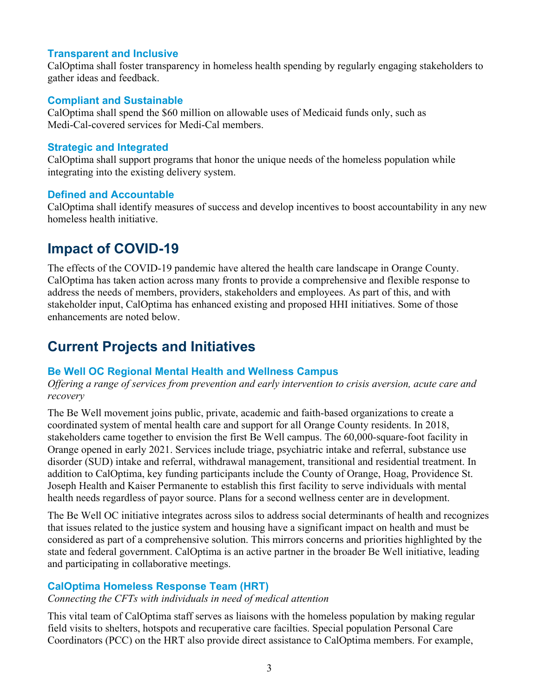# **Transparent and Inclusive**

CalOptima shall foster transparency in homeless health spending by regularly engaging stakeholders to gather ideas and feedback.

# **Compliant and Sustainable**

CalOptima shall spend the \$60 million on allowable uses of Medicaid funds only, such as Medi-Cal-covered services for Medi-Cal members.

### **Strategic and Integrated**

CalOptima shall support programs that honor the unique needs of the homeless population while integrating into the existing delivery system.

### **Defined and Accountable**

CalOptima shall identify measures of success and develop incentives to boost accountability in any new homeless health initiative.

# **Impact of COVID-19**

The effects of the COVID-19 pandemic have altered the health care landscape in Orange County. CalOptima has taken action across many fronts to provide a comprehensive and flexible response to address the needs of members, providers, stakeholders and employees. As part of this, and with stakeholder input, CalOptima has enhanced existing and proposed HHI initiatives. Some of those enhancements are noted below.

# **Current Projects and Initiatives**

# **Be Well OC Regional Mental Health and Wellness Campus**

*Offering a range of services from prevention and early intervention to crisis aversion, acute care and recovery*

The Be Well movement joins public, private, academic and faith-based organizations to create a coordinated system of mental health care and support for all Orange County residents. In 2018, stakeholders came together to envision the first Be Well campus. The 60,000-square-foot facility in Orange opened in early 2021. Services include triage, psychiatric intake and referral, substance use disorder (SUD) intake and referral, withdrawal management, transitional and residential treatment. In addition to CalOptima, key funding participants include the County of Orange, Hoag, Providence St. Joseph Health and Kaiser Permanente to establish this first facility to serve individuals with mental health needs regardless of payor source. Plans for a second wellness center are in development.

The Be Well OC initiative integrates across silos to address social determinants of health and recognizes that issues related to the justice system and housing have a significant impact on health and must be considered as part of a comprehensive solution. This mirrors concerns and priorities highlighted by the state and federal government. CalOptima is an active partner in the broader Be Well initiative, leading and participating in collaborative meetings.

# **CalOptima Homeless Response Team (HRT)**

#### *Connecting the CFTs with individuals in need of medical attention*

This vital team of CalOptima staff serves as liaisons with the homeless population by making regular field visits to shelters, hotspots and recuperative care facilties. Special population Personal Care Coordinators (PCC) on the HRT also provide direct assistance to CalOptima members. For example,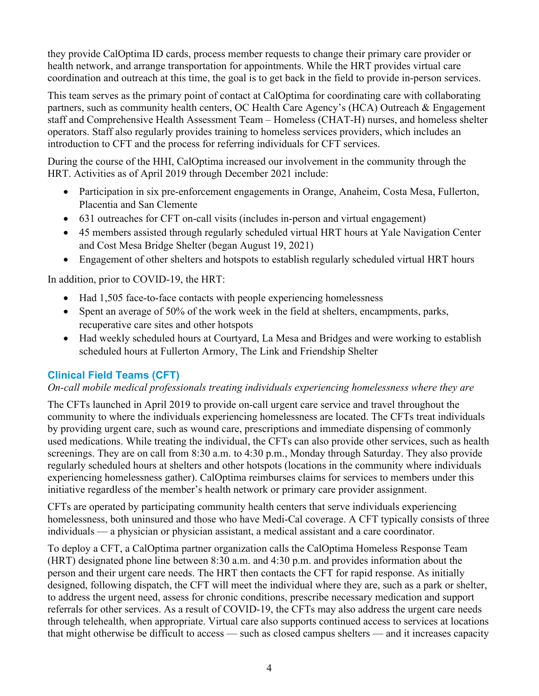they provide CalOptima ID cards, process member requests to change their primary care provider or health network, and arrange transportation for appointments. While the HRT provides virtual care coordination and outreach at this time, the goal is to get back in the field to provide in-person services.

This team serves as the primary point of contact at CalOptima for coordinating care with collaborating partners, such as community health centers, OC Health Care Agency's (HCA) Outreach & Engagement staff and Comprehensive Health Assessment Team – Homeless (CHAT-H) nurses, and homeless shelter operators. Staff also regularly provides training to homeless services providers, which includes an introduction to CFT and the process for referring individuals for CFT services.

During the course of the HHI, CalOptima increased our involvement in the community through the HRT. Activities as of April 2019 through December 2021 include:

- Participation in six pre-enforcement engagements in Orange, Anaheim, Costa Mesa, Fullerton, Placentia and San Clemente
- 631 outreaches for CFT on-call visits (includes in-person and virtual engagement)
- 45 members assisted through regularly scheduled virtual HRT hours at Yale Navigation Center and Cost Mesa Bridge Shelter (began August 19, 2021)
- Engagement of other shelters and hotspots to establish regularly scheduled virtual HRT hours

In addition, prior to COVID-19, the HRT:

- Had 1,505 face-to-face contacts with people experiencing homelessness
- Spent an average of 50% of the work week in the field at shelters, encampments, parks, recuperative care sites and other hotspots
- Had weekly scheduled hours at Courtyard, La Mesa and Bridges and were working to establish scheduled hours at Fullerton Armory, The Link and Friendship Shelter

# **Clinical Field Teams (CFT)**

# *On-call mobile medical professionals treating individuals experiencing homelessness where they are*

The CFTs launched in April 2019 to provide on-call urgent care service and travel throughout the community to where the individuals experiencing homelessness are located. The CFTs treat individuals by providing urgent care, such as wound care, prescriptions and immediate dispensing of commonly used medications. While treating the individual, the CFTs can also provide other services, such as health screenings. They are on call from 8:30 a.m. to 4:30 p.m., Monday through Saturday. They also provide regularly scheduled hours at shelters and other hotspots (locations in the community where individuals experiencing homelessness gather). CalOptima reimburses claims for services to members under this initiative regardless of the member's health network or primary care provider assignment.

CFTs are operated by participating community health centers that serve individuals experiencing homelessness, both uninsured and those who have Medi-Cal coverage. A CFT typically consists of three individuals — a physician or physician assistant, a medical assistant and a care coordinator.

To deploy a CFT, a CalOptima partner organization calls the CalOptima Homeless Response Team (HRT) designated phone line between 8:30 a.m. and 4:30 p.m. and provides information about the person and their urgent care needs. The HRT then contacts the CFT for rapid response. As initially designed, following dispatch, the CFT will meet the individual where they are, such as a park or shelter, to address the urgent need, assess for chronic conditions, prescribe necessary medication and support referrals for other services. As a result of COVID-19, the CFTs may also address the urgent care needs through telehealth, when appropriate. Virtual care also supports continued access to services at locations that might otherwise be difficult to access — such as closed campus shelters — and it increases capacity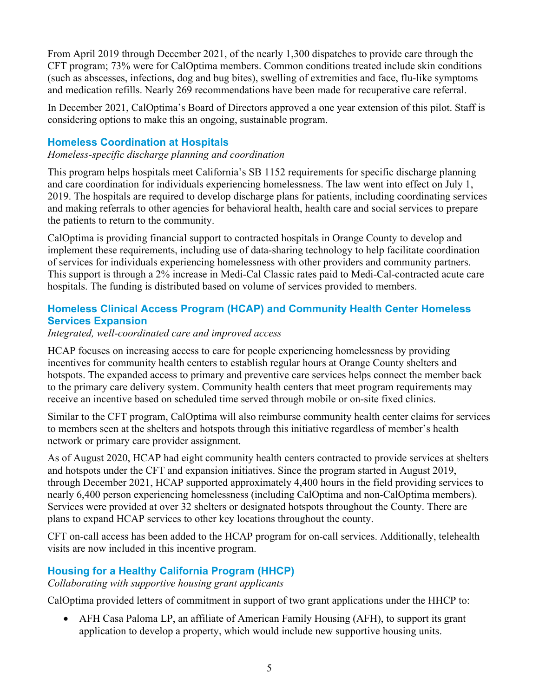From April 2019 through December 2021, of the nearly 1,300 dispatches to provide care through the CFT program; 73% were for CalOptima members. Common conditions treated include skin conditions (such as abscesses, infections, dog and bug bites), swelling of extremities and face, flu-like symptoms and medication refills. Nearly 269 recommendations have been made for recuperative care referral.

In December 2021, CalOptima's Board of Directors approved a one year extension of this pilot. Staff is considering options to make this an ongoing, sustainable program.

# **Homeless Coordination at Hospitals**

#### *Homeless-specific discharge planning and coordination*

This program helps hospitals meet California's SB 1152 requirements for specific discharge planning and care coordination for individuals experiencing homelessness. The law went into effect on July 1, 2019. The hospitals are required to develop discharge plans for patients, including coordinating services and making referrals to other agencies for behavioral health, health care and social services to prepare the patients to return to the community.

CalOptima is providing financial support to contracted hospitals in Orange County to develop and implement these requirements, including use of data-sharing technology to help facilitate coordination of services for individuals experiencing homelessness with other providers and community partners. This support is through a 2% increase in Medi-Cal Classic rates paid to Medi-Cal-contracted acute care hospitals. The funding is distributed based on volume of services provided to members.

# **Homeless Clinical Access Program (HCAP) and Community Health Center Homeless Services Expansion**

### *Integrated, well-coordinated care and improved access*

HCAP focuses on increasing access to care for people experiencing homelessness by providing incentives for community health centers to establish regular hours at Orange County shelters and hotspots. The expanded access to primary and preventive care services helps connect the member back to the primary care delivery system. Community health centers that meet program requirements may receive an incentive based on scheduled time served through mobile or on-site fixed clinics.

Similar to the CFT program, CalOptima will also reimburse community health center claims for services to members seen at the shelters and hotspots through this initiative regardless of member's health network or primary care provider assignment.

As of August 2020, HCAP had eight community health centers contracted to provide services at shelters and hotspots under the CFT and expansion initiatives. Since the program started in August 2019, through December 2021, HCAP supported approximately 4,400 hours in the field providing services to nearly 6,400 person experiencing homelessness (including CalOptima and non-CalOptima members). Services were provided at over 32 shelters or designated hotspots throughout the County. There are plans to expand HCAP services to other key locations throughout the county.

CFT on-call access has been added to the HCAP program for on-call services. Additionally, telehealth visits are now included in this incentive program.

# **Housing for a Healthy California Program (HHCP)**

*Collaborating with supportive housing grant applicants*

CalOptima provided letters of commitment in support of two grant applications under the HHCP to:

• AFH Casa Paloma LP, an affiliate of American Family Housing (AFH), to support its grant application to develop a property, which would include new supportive housing units.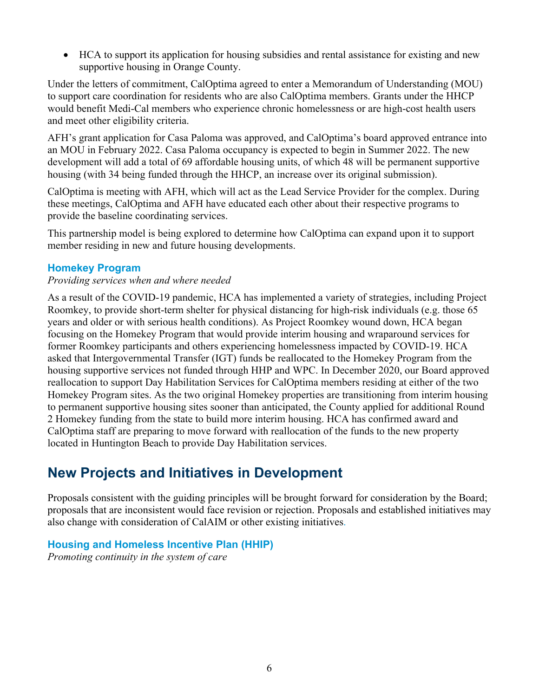• HCA to support its application for housing subsidies and rental assistance for existing and new supportive housing in Orange County.

Under the letters of commitment, CalOptima agreed to enter a Memorandum of Understanding (MOU) to support care coordination for residents who are also CalOptima members. Grants under the HHCP would benefit Medi-Cal members who experience chronic homelessness or are high-cost health users and meet other eligibility criteria.

AFH's grant application for Casa Paloma was approved, and CalOptima's board approved entrance into an MOU in February 2022. Casa Paloma occupancy is expected to begin in Summer 2022. The new development will add a total of 69 affordable housing units, of which 48 will be permanent supportive housing (with 34 being funded through the HHCP, an increase over its original submission).

CalOptima is meeting with AFH, which will act as the Lead Service Provider for the complex. During these meetings, CalOptima and AFH have educated each other about their respective programs to provide the baseline coordinating services.

This partnership model is being explored to determine how CalOptima can expand upon it to support member residing in new and future housing developments.

### **Homekey Program**

#### *Providing services when and where needed*

As a result of the COVID-19 pandemic, HCA has implemented a variety of strategies, including Project Roomkey, to provide short-term shelter for physical distancing for high-risk individuals (e.g. those 65 years and older or with serious health conditions). As Project Roomkey wound down, HCA began focusing on the Homekey Program that would provide interim housing and wraparound services for former Roomkey participants and others experiencing homelessness impacted by COVID-19. HCA asked that Intergovernmental Transfer (IGT) funds be reallocated to the Homekey Program from the housing supportive services not funded through HHP and WPC. In December 2020, our Board approved reallocation to support Day Habilitation Services for CalOptima members residing at either of the two Homekey Program sites. As the two original Homekey properties are transitioning from interim housing to permanent supportive housing sites sooner than anticipated, the County applied for additional Round 2 Homekey funding from the state to build more interim housing. HCA has confirmed award and CalOptima staff are preparing to move forward with reallocation of the funds to the new property located in Huntington Beach to provide Day Habilitation services.

# **New Projects and Initiatives in Development**

Proposals consistent with the guiding principles will be brought forward for consideration by the Board; proposals that are inconsistent would face revision or rejection. Proposals and established initiatives may also change with consideration of CalAIM or other existing initiatives.

# **Housing and Homeless Incentive Plan (HHIP)**

*Promoting continuity in the system of care*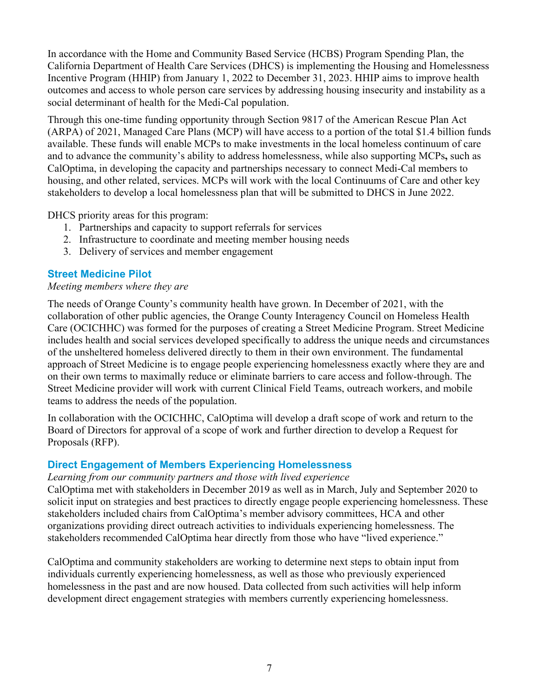In accordance with the Home and Community Based Service (HCBS) Program Spending Plan, the California Department of Health Care Services (DHCS) is implementing the Housing and Homelessness Incentive Program (HHIP) from January 1, 2022 to December 31, 2023. HHIP aims to improve health outcomes and access to whole person care services by addressing housing insecurity and instability as a social determinant of health for the Medi-Cal population.

Through this one-time funding opportunity through Section 9817 of the American Rescue Plan Act (ARPA) of 2021, Managed Care Plans (MCP) will have access to a portion of the total \$1.4 billion funds available. These funds will enable MCPs to make investments in the local homeless continuum of care and to advance the community's ability to address homelessness, while also supporting MCPs**,** such as CalOptima, in developing the capacity and partnerships necessary to connect Medi-Cal members to housing, and other related, services. MCPs will work with the local Continuums of Care and other key stakeholders to develop a local homelessness plan that will be submitted to DHCS in June 2022.

DHCS priority areas for this program:

- 1. Partnerships and capacity to support referrals for services
- 2. Infrastructure to coordinate and meeting member housing needs
- 3. Delivery of services and member engagement

# **Street Medicine Pilot**

#### *Meeting members where they are*

The needs of Orange County's community health have grown. In December of 2021, with the collaboration of other public agencies, the Orange County Interagency Council on Homeless Health Care (OCICHHC) was formed for the purposes of creating a Street Medicine Program. Street Medicine includes health and social services developed specifically to address the unique needs and circumstances of the unsheltered homeless delivered directly to them in their own environment. The fundamental approach of Street Medicine is to engage people experiencing homelessness exactly where they are and on their own terms to maximally reduce or eliminate barriers to care access and follow-through. The Street Medicine provider will work with current Clinical Field Teams, outreach workers, and mobile teams to address the needs of the population.

In collaboration with the OCICHHC, CalOptima will develop a draft scope of work and return to the Board of Directors for approval of a scope of work and further direction to develop a Request for Proposals (RFP).

#### **Direct Engagement of Members Experiencing Homelessness**

*Learning from our community partners and those with lived experience* CalOptima met with stakeholders in December 2019 as well as in March, July and September 2020 to solicit input on strategies and best practices to directly engage people experiencing homelessness. These stakeholders included chairs from CalOptima's member advisory committees, HCA and other organizations providing direct outreach activities to individuals experiencing homelessness. The stakeholders recommended CalOptima hear directly from those who have "lived experience."

CalOptima and community stakeholders are working to determine next steps to obtain input from individuals currently experiencing homelessness, as well as those who previously experienced homelessness in the past and are now housed. Data collected from such activities will help inform development direct engagement strategies with members currently experiencing homelessness.